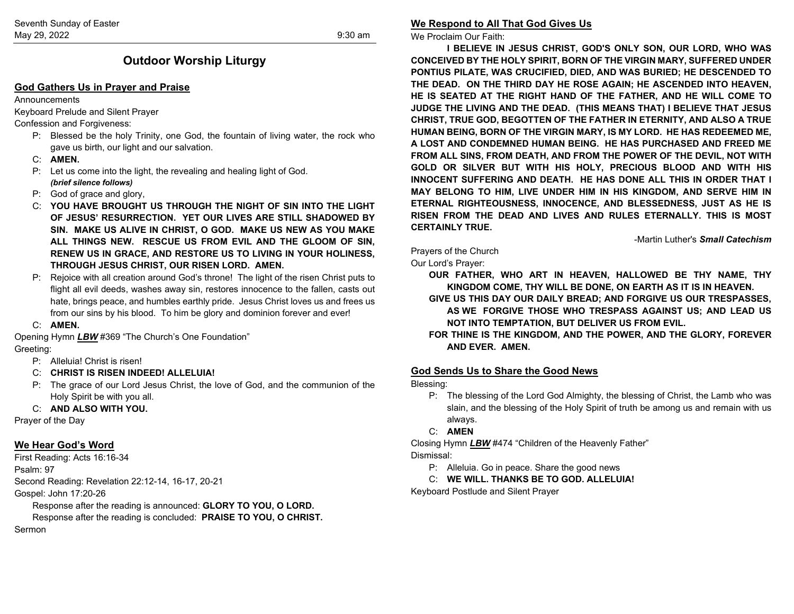# **Outdoor Worship Liturgy**

#### **God Gathers Us in Prayer and Praise**

#### **Announcements**

Keyboard Prelude and Silent Prayer

#### Confession and Forgiveness:

- P: Blessed be the holy Trinity, one God, the fountain of living water, the rock who gave us birth, our light and our salvation.
- C: **AMEN.**
- P: Let us come into the light, the revealing and healing light of God. *(brief silence follows)*
- P: God of grace and glory,
- C: **YOU HAVE BROUGHT US THROUGH THE NIGHT OF SIN INTO THE LIGHT OF JESUS' RESURRECTION. YET OUR LIVES ARE STILL SHADOWED BY SIN. MAKE US ALIVE IN CHRIST, O GOD. MAKE US NEW AS YOU MAKE ALL THINGS NEW. RESCUE US FROM EVIL AND THE GLOOM OF SIN, RENEW US IN GRACE, AND RESTORE US TO LIVING IN YOUR HOLINESS, THROUGH JESUS CHRIST, OUR RISEN LORD. AMEN.**
- P: Rejoice with all creation around God's throne! The light of the risen Christ puts to flight all evil deeds, washes away sin, restores innocence to the fallen, casts out hate, brings peace, and humbles earthly pride. Jesus Christ loves us and frees us from our sins by his blood. To him be glory and dominion forever and ever!
- C: **AMEN.**

Opening Hymn *LBW* #369 "The Church's One Foundation" Greeting:

- P: Alleluia! Christ is risen!
- C: **CHRIST IS RISEN INDEED! ALLELUIA!**
- P: The grace of our Lord Jesus Christ, the love of God, and the communion of the Holy Spirit be with you all.

### C: **AND ALSO WITH YOU.**

Prayer of the Day

# **We Hear God's Word**

First Reading: Acts 16:16-34 Psalm: 97 Second Reading: Revelation 22:12-14, 16-17, 20-21 Gospel: John 17:20-26

Response after the reading is announced: **GLORY TO YOU, O LORD.**

Response after the reading is concluded: **PRAISE TO YOU, O CHRIST.** Sermon

#### **We Respond to All That God Gives Us**

We Proclaim Our Faith:

**I BELIEVE IN JESUS CHRIST, GOD'S ONLY SON, OUR LORD, WHO WAS CONCEIVED BY THE HOLY SPIRIT, BORN OF THE VIRGIN MARY, SUFFERED UNDER PONTIUS PILATE, WAS CRUCIFIED, DIED, AND WAS BURIED; HE DESCENDED TO THE DEAD. ON THE THIRD DAY HE ROSE AGAIN; HE ASCENDED INTO HEAVEN, HE IS SEATED AT THE RIGHT HAND OF THE FATHER, AND HE WILL COME TO JUDGE THE LIVING AND THE DEAD. (THIS MEANS THAT) I BELIEVE THAT JESUS CHRIST, TRUE GOD, BEGOTTEN OF THE FATHER IN ETERNITY, AND ALSO A TRUE HUMAN BEING, BORN OF THE VIRGIN MARY, IS MY LORD. HE HAS REDEEMED ME, A LOST AND CONDEMNED HUMAN BEING. HE HAS PURCHASED AND FREED ME FROM ALL SINS, FROM DEATH, AND FROM THE POWER OF THE DEVIL, NOT WITH GOLD OR SILVER BUT WITH HIS HOLY, PRECIOUS BLOOD AND WITH HIS INNOCENT SUFFERING AND DEATH. HE HAS DONE ALL THIS IN ORDER THAT I MAY BELONG TO HIM, LIVE UNDER HIM IN HIS KINGDOM, AND SERVE HIM IN ETERNAL RIGHTEOUSNESS, INNOCENCE, AND BLESSEDNESS, JUST AS HE IS RISEN FROM THE DEAD AND LIVES AND RULES ETERNALLY. THIS IS MOST CERTAINLY TRUE.**

-Martin Luther's *Small Catechism*

#### Prayers of the Church

Our Lord's Prayer:

**OUR FATHER, WHO ART IN HEAVEN, HALLOWED BE THY NAME, THY KINGDOM COME, THY WILL BE DONE, ON EARTH AS IT IS IN HEAVEN.**

- **GIVE US THIS DAY OUR DAILY BREAD; AND FORGIVE US OUR TRESPASSES, AS WE FORGIVE THOSE WHO TRESPASS AGAINST US; AND LEAD US NOT INTO TEMPTATION, BUT DELIVER US FROM EVIL.**
- **FOR THINE IS THE KINGDOM, AND THE POWER, AND THE GLORY, FOREVER AND EVER. AMEN.**

### **God Sends Us to Share the Good News**

Blessing:

- P: The blessing of the Lord God Almighty, the blessing of Christ, the Lamb who was slain, and the blessing of the Holy Spirit of truth be among us and remain with us always.
- C: **AMEN**

Closing Hymn *LBW* #474 "Children of the Heavenly Father" Dismissal:

- P: Alleluia. Go in peace. Share the good news
- C: **WE WILL. THANKS BE TO GOD. ALLELUIA!**

Keyboard Postlude and Silent Prayer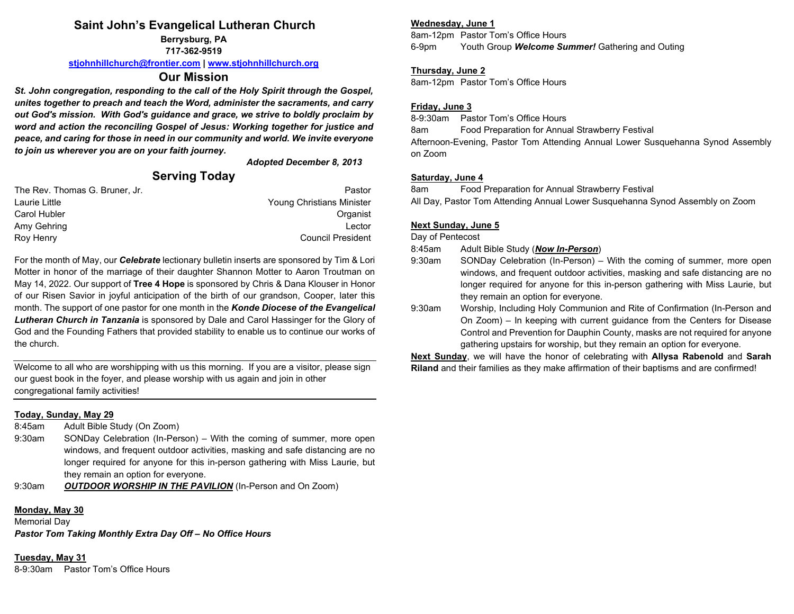# **Saint John's Evangelical Lutheran Church**

**Berrysburg, PA 717-362-9519**

**[stjohnhillchurch@frontier.com](mailto:stjohnhillchurch@frontier.com) | [www.stjohnhillchurch.org](http://www.stjohnhillchurch.org/)**

# **Our Mission**

*St. John congregation, responding to the call of the Holy Spirit through the Gospel, unites together to preach and teach the Word, administer the sacraments, and carry out God's mission. With God's guidance and grace, we strive to boldly proclaim by word and action the reconciling Gospel of Jesus: Working together for justice and peace, and caring for those in need in our community and world. We invite everyone to join us wherever you are on your faith journey.*

*Adopted December 8, 2013*

# **Serving Today**

| The Rev. Thomas G. Bruner, Jr. | Pastor                    |
|--------------------------------|---------------------------|
| Laurie Little                  | Young Christians Minister |
| Carol Hubler                   | Organist                  |
| Amy Gehring                    | Lector                    |
| Roy Henry                      | <b>Council President</b>  |

For the month of May, our *Celebrate* lectionary bulletin inserts are sponsored by Tim & Lori Motter in honor of the marriage of their daughter Shannon Motter to Aaron Troutman on May 14, 2022. Our support of **Tree 4 Hope** is sponsored by Chris & Dana Klouser in Honor of our Risen Savior in joyful anticipation of the birth of our grandson, Cooper, later this month. The support of one pastor for one month in the *Konde Diocese of the Evangelical Lutheran Church in Tanzania* is sponsored by Dale and Carol Hassinger for the Glory of God and the Founding Fathers that provided stability to enable us to continue our works of the church.

Welcome to all who are worshipping with us this morning. If you are a visitor, please sign our guest book in the foyer, and please worship with us again and join in other congregational family activities!

### **Today, Sunday, May 29**

8:45am Adult Bible Study (On Zoom)

9:30am SONDay Celebration (In-Person) – With the coming of summer, more open windows, and frequent outdoor activities, masking and safe distancing are no longer required for anyone for this in-person gathering with Miss Laurie, but they remain an option for everyone.

9:30am *OUTDOOR WORSHIP IN THE PAVILION* (In-Person and On Zoom)

# **Monday, May 30**

Memorial Day

*Pastor Tom Taking Monthly Extra Day Off – No Office Hours*

**Tuesday, May 31** 8-9:30am Pastor Tom's Office Hours

## **Wednesday, June 1**

8am-12pm Pastor Tom's Office Hours 6-9pm Youth Group *Welcome Summer!* Gathering and Outing

#### **Thursday, June 2**

8am-12pm Pastor Tom's Office Hours

## **Friday, June 3**

8-9:30am Pastor Tom's Office Hours 8am Food Preparation for Annual Strawberry Festival Afternoon-Evening, Pastor Tom Attending Annual Lower Susquehanna Synod Assembly on Zoom

## **Saturday, June 4**

8am Food Preparation for Annual Strawberry Festival All Day, Pastor Tom Attending Annual Lower Susquehanna Synod Assembly on Zoom

## **Next Sunday, June 5**

Day of Pentecost

8:45am Adult Bible Study (*Now In-Person*)

- 9:30am SONDay Celebration (In-Person) With the coming of summer, more open windows, and frequent outdoor activities, masking and safe distancing are no longer required for anyone for this in-person gathering with Miss Laurie, but they remain an option for everyone.
- 9:30am Worship, Including Holy Communion and Rite of Confirmation (In-Person and On Zoom) – In keeping with current guidance from the Centers for Disease Control and Prevention for Dauphin County, masks are not required for anyone gathering upstairs for worship, but they remain an option for everyone.

**Next Sunday**, we will have the honor of celebrating with **Allysa Rabenold** and **Sarah Riland** and their families as they make affirmation of their baptisms and are confirmed!